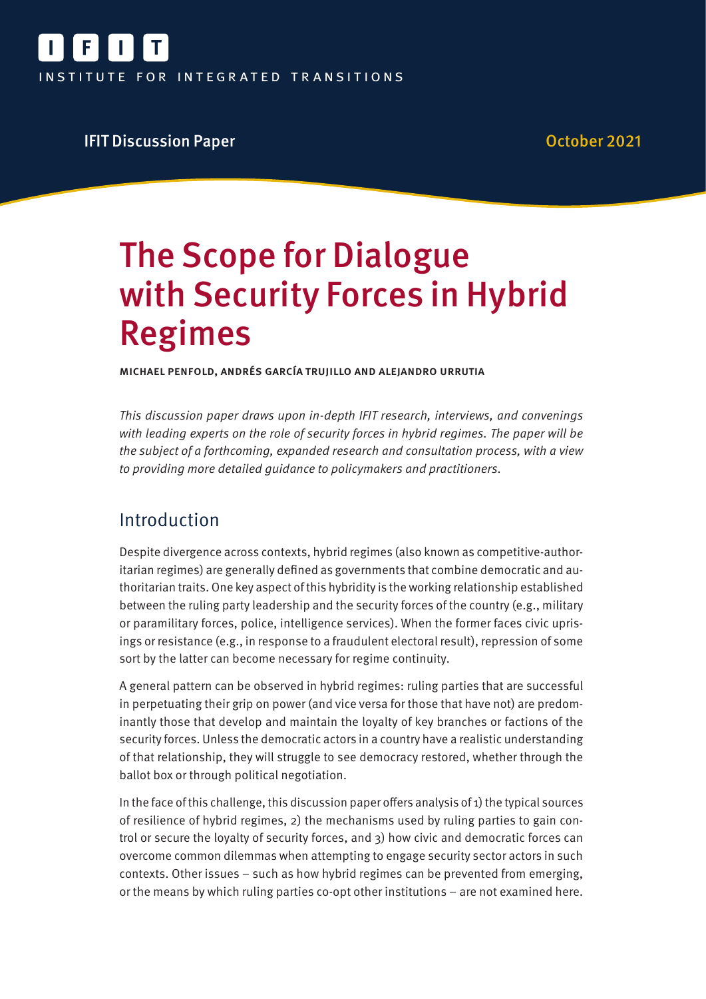

### **IFIT Discussion Paper Community Community Community Community Community Community Community Community Community**

# The Scope for Dialogue with Security Forces in Hybrid Regimes

Michael Penfold, Andrés García Trujillo and Alejandro Urrutia

This discussion paper draws upon in-depth IFIT research, interviews, and convenings with leading experts on the role of security forces in hybrid regimes. The paper will be the subject of a forthcoming, expanded research and consultation process, with a view to providing more detailed guidance to policymakers and practitioners.

# Introduction

Despite divergence across contexts, hybrid regimes (also known as competitive-authoritarian regimes) are generally defined as governments that combine democratic and authoritarian traits. One key aspect of this hybridity is the working relationship established between the ruling party leadership and the security forces of the country (e.g., military or paramilitary forces, police, intelligence services). When the former faces civic uprisings or resistance (e.g., in response to a fraudulent electoral result), repression of some sort by the latter can become necessary for regime continuity.

A general pattern can be observed in hybrid regimes: ruling parties that are successful in perpetuating their grip on power (and vice versa for those that have not) are predominantly those that develop and maintain the loyalty of key branches or factions of the security forces. Unless the democratic actors in a country have a realistic understanding of that relationship, they will struggle to see democracy restored, whether through the ballot box or through political negotiation.

In the face of this challenge, this discussion paper offers analysis of 1) the typical sources of resilience of hybrid regimes, 2) the mechanisms used by ruling parties to gain control or secure the loyalty of security forces, and 3) how civic and democratic forces can overcome common dilemmas when attempting to engage security sector actors in such contexts. Other issues – such as how hybrid regimes can be prevented from emerging, or the means by which ruling parties co-opt other institutions – are not examined here.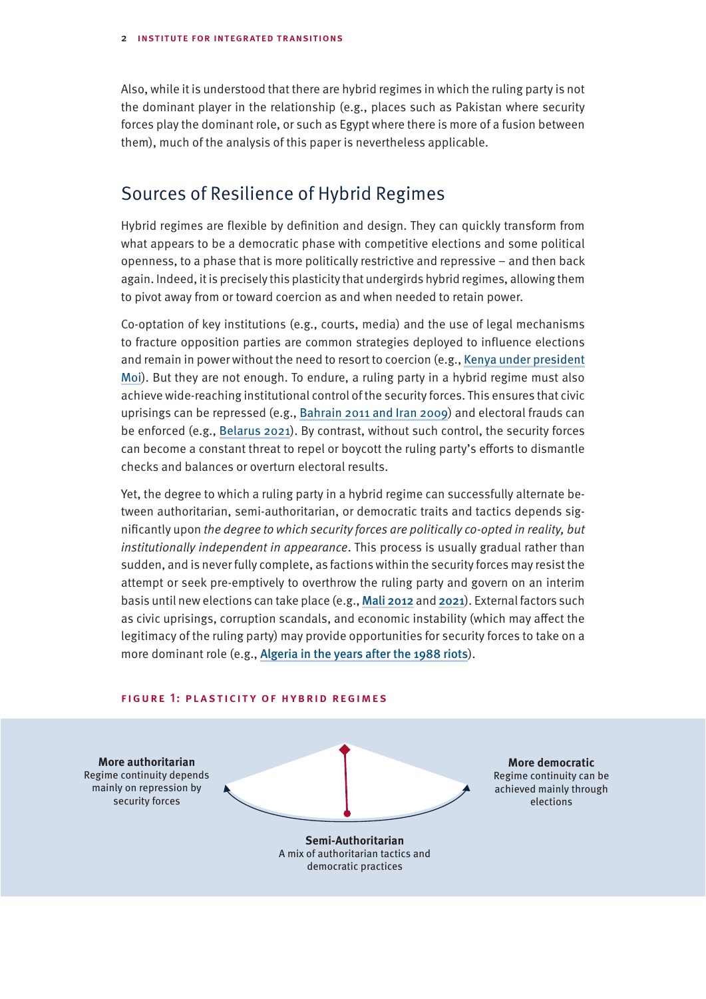Also, while it is understood that there are hybrid regimes in which the ruling party is not the dominant player in the relationship (e.g., places such as Pakistan where security forces play the dominant role, or such as Egypt where there is more of a fusion between them), much of the analysis of this paper is nevertheless applicable.

### Sources of Resilience of Hybrid Regimes

Hybrid regimes are flexible by definition and design. They can quickly transform from what appears to be a democratic phase with competitive elections and some political openness, to a phase that is more politically restrictive and repressive – and then back again. Indeed, it is precisely this plasticity that undergirds hybrid regimes, allowing them to pivot away from or toward coercion as and when needed to retain power.

Co-optation of key institutions (e.g., courts, media) and the use of legal mechanisms to fracture opposition parties are common strategies deployed to influence elections and remain in power without the need to resort to coercion (e.g., [Kenya under president](https://www.jstor.org/stable/4187218) [Moi](https://www.jstor.org/stable/4187218)). But they are not enough. To endure, a ruling party in a hybrid regime must also achieve wide-reaching institutional control of the security forces. This ensures that civic uprisings can be repressed (e.g., [Bahrain 2011 and Iran 2009](https://www.files.ethz.ch/isn/141539/SSR_PAPER2_Binder.pdf)) and electoral frauds can be enforced (e.g., [Belarus 2021](https://www.bbc.com/news/world-europe-54846049)). By contrast, without such control, the security forces can become a constant threat to repel or boycott the ruling party's efforts to dismantle checks and balances or overturn electoral results.

Yet, the degree to which a ruling party in a hybrid regime can successfully alternate between authoritarian, semi-authoritarian, or democratic traits and tactics depends significantly upon the degree to which security forces are politically co-opted in reality, but institutionally independent in appearance. This process is usually gradual rather than sudden, and is never fully complete, as factions within the security forces may resist the attempt or seek pre-emptively to overthrow the ruling party and govern on an interim basis until new elections can take place (e.g., [Mali 2012](https://www.diis.dk/en/node/24193) and [2021](https://theconversation.com/inside-malis-coup-within-a-coup-161621)). External factors such as civic uprisings, corruption scandals, and economic instability (which may affect the legitimacy of the ruling party) may provide opportunities for security forces to take on a more dominant role (e.g., [Algeria in the years after the 1988 riots](https://www.cairn-int.info/dossiers-2020-1-page-1.htm)).

#### FIGURE 1: PLASTICITY OF HYBRID REGIMES

**More authoritarian** Regime continuity depends mainly on repression by security forces

**More democratic** Regime continuity can be achieved mainly through elections

**Semi-Authoritarian** A mix of authoritarian tactics and democratic practices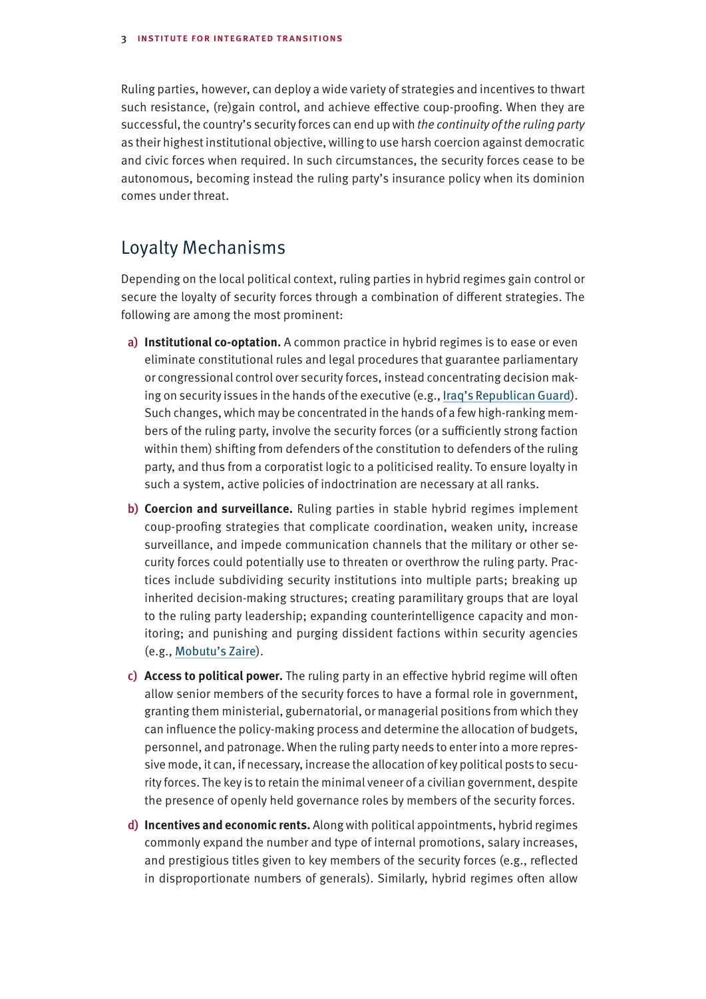Ruling parties, however, can deploy a wide variety of strategies and incentives to thwart such resistance, (re)gain control, and achieve effective coup-proofing. When they are successful, the country's security forces can end up with the continuity of the ruling party as their highest institutional objective, willing to use harsh coercion against democratic and civic forces when required. In such circumstances, the security forces cease to be autonomous, becoming instead the ruling party's insurance policy when its dominion comes under threat.

## Loyalty Mechanisms

Depending on the local political context, ruling parties in hybrid regimes gain control or secure the loyalty of security forces through a combination of different strategies. The following are among the most prominent:

- a) **Institutional co-optation.** A common practice in hybrid regimes is to ease or even eliminate constitutional rules and legal procedures that guarantee parliamentary or congressional control over security forces, instead concentrating decision making on security issues in the hands of the executive (e.g., [Iraq's Republican Guard](https://www.jstor.org/stable/27933633)). Such changes, which may be concentrated in the hands of a few high-ranking members of the ruling party, involve the security forces (or a sufficiently strong faction within them) shifting from defenders of the constitution to defenders of the ruling party, and thus from a corporatist logic to a politicised reality. To ensure loyalty in such a system, active policies of indoctrination are necessary at all ranks.
- b) **Coercion and surveillance.** Ruling parties in stable hybrid regimes implement coup-proofing strategies that complicate coordination, weaken unity, increase surveillance, and impede communication channels that the military or other security forces could potentially use to threaten or overthrow the ruling party. Practices include subdividing security institutions into multiple parts; breaking up inherited decision-making structures; creating paramilitary groups that are loyal to the ruling party leadership; expanding counterintelligence capacity and monitoring; and punishing and purging dissident factions within security agencies (e.g., [Mobutu's Zaire](https://journals.sagepub.com/doi/10.1177/0738894219836285)).
- c) **Access to political power.** The ruling party in an effective hybrid regime will often allow senior members of the security forces to have a formal role in government, granting them ministerial, gubernatorial, or managerial positions from which they can influence the policy-making process and determine the allocation of budgets, personnel, and patronage. When the ruling party needs to enter into a more repressive mode, it can, if necessary, increase the allocation of key political posts to security forces. The key is to retain the minimal veneer of a civilian government, despite the presence of openly held governance roles by members of the security forces.
- d) **Incentives and economic rents.** Along with political appointments, hybrid regimes commonly expand the number and type of internal promotions, salary increases, and prestigious titles given to key members of the security forces (e.g., reflected in disproportionate numbers of generals). Similarly, hybrid regimes often allow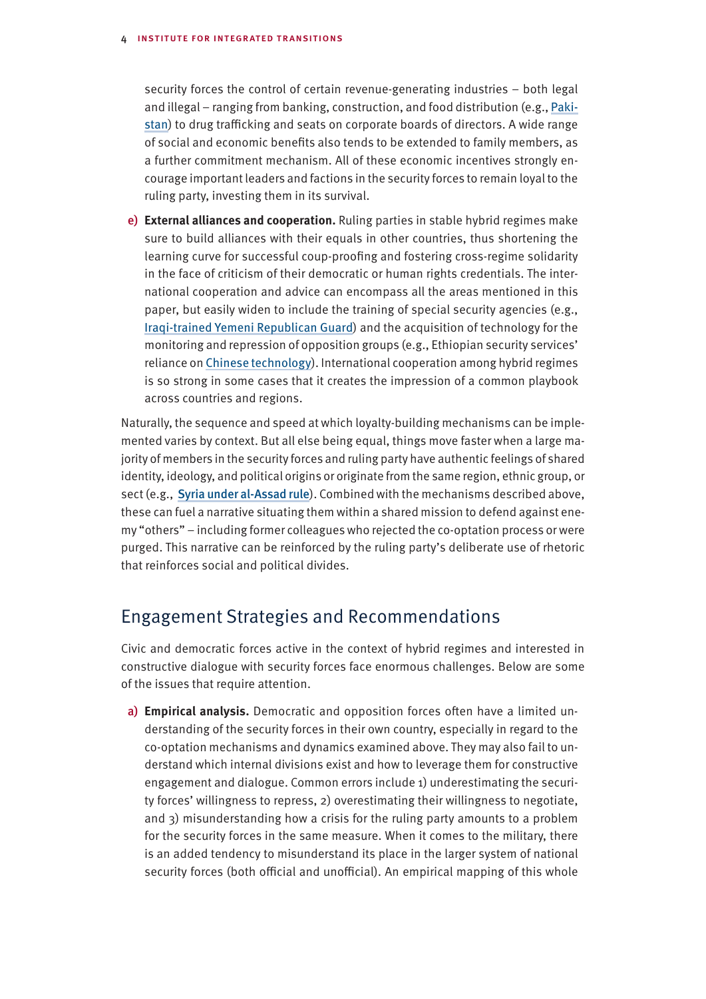#### 4 institute for integrated transitions

security forces the control of certain revenue-generating industries – both legal and illegal – ranging from banking, construction, and food distribution (e.g., [Paki](https://gsdrc.org/document-library/military-inc-inside-pakistans-military-economy/)[stan](https://gsdrc.org/document-library/military-inc-inside-pakistans-military-economy/)) to drug trafficking and seats on corporate boards of directors. A wide range of social and economic benefits also tends to be extended to family members, as a further commitment mechanism. All of these economic incentives strongly encourage important leaders and factions in the security forces to remain loyal to the ruling party, investing them in its survival.

e) **External alliances and cooperation.** Ruling parties in stable hybrid regimes make sure to build alliances with their equals in other countries, thus shortening the learning curve for successful coup-proofing and fostering cross-regime solidarity in the face of criticism of their democratic or human rights credentials. The international cooperation and advice can encompass all the areas mentioned in this paper, but easily widen to include the training of special security agencies (e.g., [Iraqi-trained Yemeni Republican Guard](https://carnegieeurope.eu/2012/12/13/ensuring-success-of-yemen-s-military-reforms-pub-50349)) and the acquisition of technology for the monitoring and repression of opposition groups (e.g., Ethiopian security services' reliance on [Chinese technology](https://www.brookings.edu/wp-content/uploads/2019/08/FP_20190826_digital_authoritarianism_polyakova_meserole.pdf)). International cooperation among hybrid regimes is so strong in some cases that it creates the impression of a common playbook across countries and regions.

Naturally, the sequence and speed at which loyalty-building mechanisms can be implemented varies by context. But all else being equal, things move faster when a large majority of members in the security forces and ruling party have authentic feelings of shared identity, ideology, and political origins or originate from the same region, ethnic group, or sect (e.g., [Syria under al-Assad rule](https://www.jstor.org/stable/pdf/10.7249/mr1640af.10.pdf?refreqid=excelsior%3Af2cbc1a8da3cbeeea4036dc05b248006)). Combined with the mechanisms described above, these can fuel a narrative situating them within a shared mission to defend against enemy "others" – including former colleagues who rejected the co-optation process or were purged. This narrative can be reinforced by the ruling party's deliberate use of rhetoric that reinforces social and political divides.

# Engagement Strategies and Recommendations

Civic and democratic forces active in the context of hybrid regimes and interested in constructive dialogue with security forces face enormous challenges. Below are some of the issues that require attention.

a) **Empirical analysis.** Democratic and opposition forces often have a limited understanding of the security forces in their own country, especially in regard to the co-optation mechanisms and dynamics examined above. They may also fail to understand which internal divisions exist and how to leverage them for constructive engagement and dialogue. Common errors include 1) underestimating the security forces' willingness to repress, 2) overestimating their willingness to negotiate, and 3) misunderstanding how a crisis for the ruling party amounts to a problem for the security forces in the same measure. When it comes to the military, there is an added tendency to misunderstand its place in the larger system of national security forces (both official and unofficial). An empirical mapping of this whole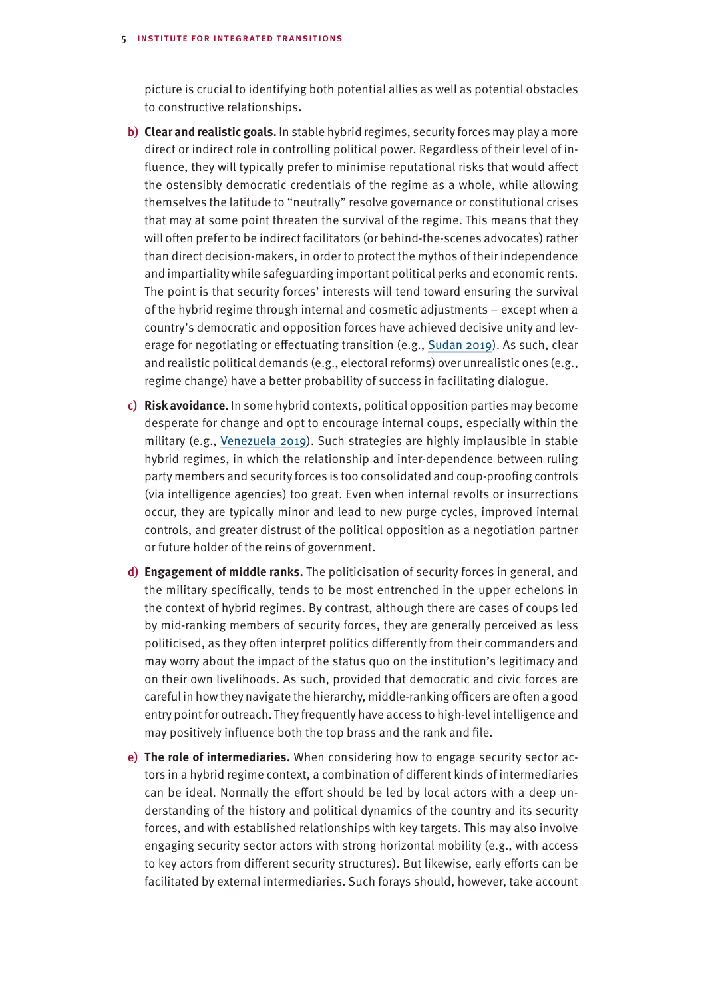#### 5 institute for integrated transitions

picture is crucial to identifying both potential allies as well as potential obstacles to constructive relationships**.** 

- b) **Clear and realistic goals.** In stable hybrid regimes, security forces may play a more direct or indirect role in controlling political power. Regardless of their level of influence, they will typically prefer to minimise reputational risks that would affect the ostensibly democratic credentials of the regime as a whole, while allowing themselves the latitude to "neutrally" resolve governance or constitutional crises that may at some point threaten the survival of the regime. This means that they will often prefer to be indirect facilitators (or behind-the-scenes advocates) rather than direct decision-makers, in order to protect the mythos of their independence and impartiality while safeguarding important political perks and economic rents. The point is that security forces' interests will tend toward ensuring the survival of the hybrid regime through internal and cosmetic adjustments – except when a country's democratic and opposition forces have achieved decisive unity and leverage for negotiating or effectuating transition (e.g., [Sudan 2019](https://www.nonviolent-conflict.org/wp-content/uploads/2021/04/Zunes-Sudans-2019-Revolution.pdf)). As such, clear and realistic political demands (e.g., electoral reforms) over unrealistic ones (e.g., regime change) have a better probability of success in facilitating dialogue.
- c) **Risk avoidance.** In some hybrid contexts, political opposition parties may become desperate for change and opt to encourage internal coups, especially within the military (e.g., [Venezuela](https://csis-website-prod.s3.amazonaws.com/s3fs-public/publication/210524_Rendon_Negotiations_in_Venzuela.pdf?MmUlqj0Ww_XiJYYyAtEsm5nbJOSUiMLU) 2019). Such strategies are highly implausible in stable hybrid regimes, in which the relationship and inter-dependence between ruling party members and security forces is too consolidated and coup-proofing controls (via intelligence agencies) too great. Even when internal revolts or insurrections occur, they are typically minor and lead to new purge cycles, improved internal controls, and greater distrust of the political opposition as a negotiation partner or future holder of the reins of government.
- d) **Engagement of middle ranks.** The politicisation of security forces in general, and the military specifically, tends to be most entrenched in the upper echelons in the context of hybrid regimes. By contrast, although there are cases of coups led by mid-ranking members of security forces, they are generally perceived as less politicised, as they often interpret politics differently from their commanders and may worry about the impact of the status quo on the institution's legitimacy and on their own livelihoods. As such, provided that democratic and civic forces are careful in how they navigate the hierarchy, middle-ranking officers are often a good entry point for outreach. They frequently have access to high-level intelligence and may positively influence both the top brass and the rank and file.
- e) **The role of intermediaries.** When considering how to engage security sector actors in a hybrid regime context, a combination of different kinds of intermediaries can be ideal. Normally the effort should be led by local actors with a deep understanding of the history and political dynamics of the country and its security forces, and with established relationships with key targets. This may also involve engaging security sector actors with strong horizontal mobility (e.g., with access to key actors from different security structures). But likewise, early efforts can be facilitated by external intermediaries. Such forays should, however, take account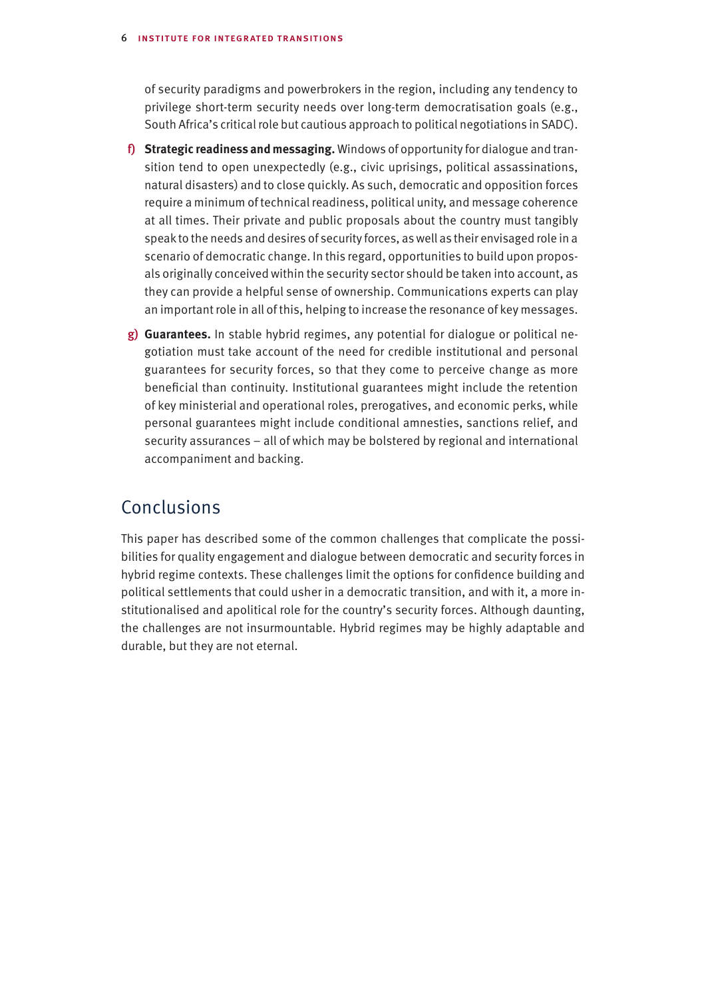#### 6 institute for integrated transitions

of security paradigms and powerbrokers in the region, including any tendency to privilege short-term security needs over long-term democratisation goals (e.g., South Africa's critical role but cautious approach to political negotiations in SADC).

- f) **Strategic readiness and messaging.** Windows of opportunity for dialogue and transition tend to open unexpectedly (e.g., civic uprisings, political assassinations, natural disasters) and to close quickly. As such, democratic and opposition forces require a minimum of technical readiness, political unity, and message coherence at all times. Their private and public proposals about the country must tangibly speak to the needs and desires of security forces, as well as their envisaged role in a scenario of democratic change. In this regard, opportunities to build upon proposals originally conceived within the security sector should be taken into account, as they can provide a helpful sense of ownership. Communications experts can play an important role in all of this, helping to increase the resonance of key messages.
- g) **Guarantees.** In stable hybrid regimes, any potential for dialogue or political negotiation must take account of the need for credible institutional and personal guarantees for security forces, so that they come to perceive change as more beneficial than continuity. Institutional guarantees might include the retention of key ministerial and operational roles, prerogatives, and economic perks, while personal guarantees might include conditional amnesties, sanctions relief, and security assurances – all of which may be bolstered by regional and international accompaniment and backing.

# Conclusions

This paper has described some of the common challenges that complicate the possibilities for quality engagement and dialogue between democratic and security forces in hybrid regime contexts. These challenges limit the options for confidence building and political settlements that could usher in a democratic transition, and with it, a more institutionalised and apolitical role for the country's security forces. Although daunting, the challenges are not insurmountable. Hybrid regimes may be highly adaptable and durable, but they are not eternal.